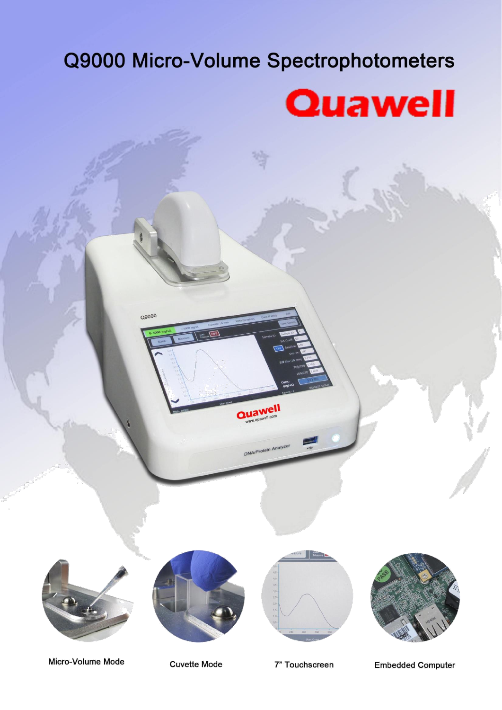# Q9000 Micro-Volume Spectrophotometers



Q9000









Micro-Volume Mode

**Cuvette Mode** 

7" Touchscreen

**Embedded Computer**